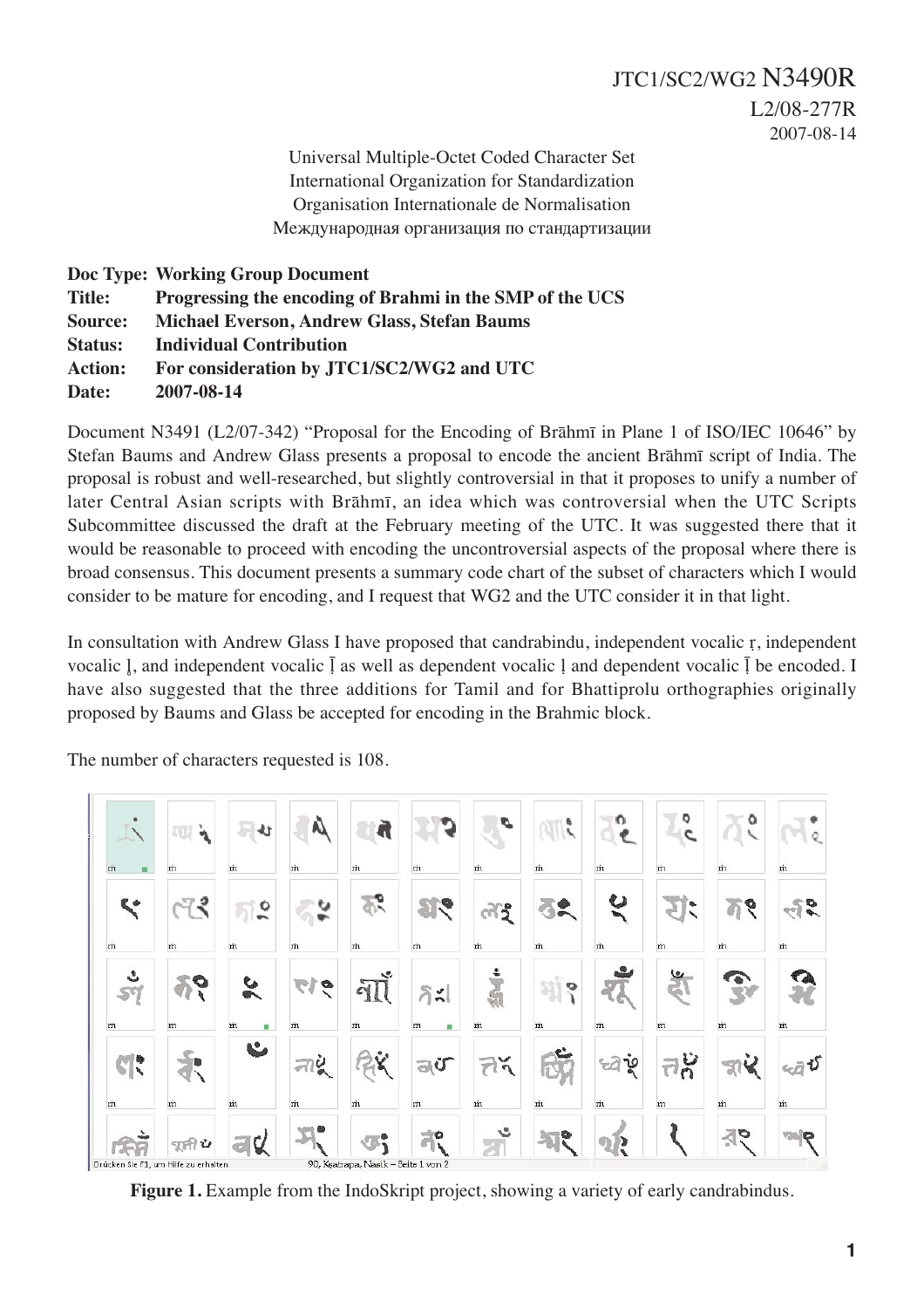Universal Multiple-Octet Coded Character Set International Organization for Standardization Organisation Internationale de Normalisation Международная организация по стандартизации

# **Doc Type: Working Group Document Title: Progressing the encoding of Brahmi in the SMP of the UCS Source: Michael Everson, Andrew Glass, Stefan Baums Status: Individual Contribution Action: For consideration by JTC1/SC2/WG2 and UTC Date: 2007-08-14**

Document N3491 (L2/07-342) "Proposal for the Encoding of Brāhmī in Plane 1 of ISO/IEC 10646" by Stefan Baums and Andrew Glass presents a proposal to encode the ancient Brāhmī script of India. The proposal is robust and well-researched, but slightly controversial in that it proposes to unify a number of later Central Asian scripts with Brāhmī, an idea which was controversial when the UTC Scripts Subcommittee discussed the draft at the February meeting of the UTC. It was suggested there that it would be reasonable to proceed with encoding the uncontroversial aspects of the proposal where there is broad consensus. This document presents a summary code chart of the subset of characters which I would consider to be mature for encoding, and I request that WG2 and the UTC consider it in that light.

In consultation with Andrew Glass I have proposed that candrabindu, independent vocalic r, independent vocalic  $\parallel$ , and independent vocalic  $\parallel$  as well as dependent vocalic  $\parallel$  and dependent vocalic  $\parallel$  be encoded. I have also suggested that the three additions for Tamil and for Bhattiprolu orthographies originally proposed by Baums and Glass be accepted for encoding in the Brahmic block.

The number of characters requested is 108.

|                                       | v               |         |              |                                     |                           | c                                 | ø | o        | ٥<br>c            | ٥ |   |
|---------------------------------------|-----------------|---------|--------------|-------------------------------------|---------------------------|-----------------------------------|---|----------|-------------------|---|---|
| m<br>撫                                | m               | m       | m            | m                                   | m                         | m                                 | m | m        | m                 | m | m |
| Ľ                                     | २               | ۰       |              | ۰O                                  | œ.                        | $\tilde{5}$                       |   | ಀ        | ۰<br>$\checkmark$ | ó | 5 |
| m                                     | m               | m       | m            | m                                   | m                         | m                                 | m | m        | m                 | m | m |
| ٤                                     | D               | ¢۵<br>Þ | ल<br>ø       | L.<br>না                            | $\delta$<br>$\frac{1}{2}$ |                                   | o |          | بيعا              |   |   |
| m                                     | m               | m<br>m  | m            | m                                   | m<br>٠                    | m                                 | m | m        | m                 | m | m |
| $\mathbb{C}$                          | with <b>its</b> | Ł       | 힞<br>colling |                                     | $v_{\rm b}$               | ř<br>$\mathcal{T}^{\mathfrak{d}}$ |   | ٦٥<br>72 |                   |   | ΰ |
| m                                     | m               | m       | m            | m                                   | m                         | m                                 | m | m        | m                 | m | m |
|                                       | Ů               |         |              |                                     | O                         | s                                 | é | D        |                   | O | ę |
| Drücken Sie F1, um Hilfe zu erhalten. |                 |         |              | 90, Keatrapa, Nasik - Seite 1 von 2 |                           |                                   |   |          |                   |   |   |

Figure 1. Example from the IndoSkript project, showing a variety of early candrabindus.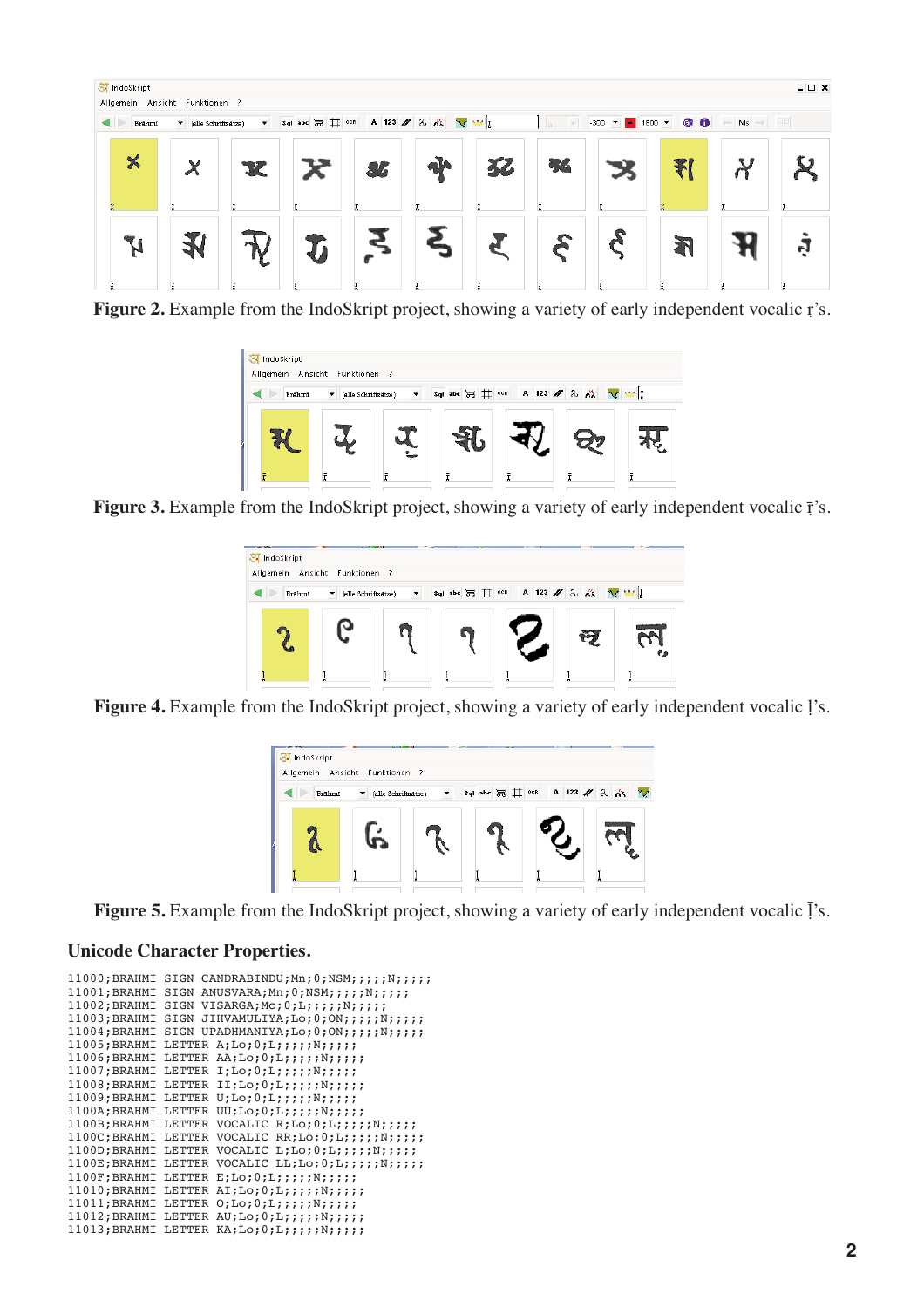

**Figure 2.** Example from the IndoSkript project, showing a variety of early independent vocalic r's.

| SI IndoSkript<br>Allgemein Ansicht Funktionen ? |                          |   |                                   |  |  |   |
|-------------------------------------------------|--------------------------|---|-----------------------------------|--|--|---|
| <b>Brahmi</b>                                   | (alle Schriftsätze)<br>▼ | ▼ | sql abc 丽 廿 008 A 123 / 2 太 V W T |  |  |   |
|                                                 |                          |   | Ŧ                                 |  |  | ÷ |

**Figure 3.** Example from the IndoSkript project, showing a variety of early independent vocalic  $\vec{r}$ 's.



Figure 4. Example from the IndoSkript project, showing a variety of early independent vocalic l's.



**Figure 5.** Example from the IndoSkript project, showing a variety of early independent vocalic  $\vec{l}$ 's.

### **Unicode Character Properties.**

```
11000;BRAHMI SIGN CANDRABINDU;Mn;0;NSM;;;;;N;;;;;
11001;BRAHMI SIGN ANUSVARA;Mn;0;NSM;;;;;N;;;;;
11002;BRAHMI SIGN VISARGA;Mc;0;L;;;;;;N;;;;;
11003;BRAHMI SIGN JIHVAMULIYA;Lo;0;ON;;;;;N;;;;;
11004;BRAHMI SIGN UPADHMANIYA;Lo;0;ON;;;;;N;;;;;
11005;BRAHMI LETTER A;Lo;0;L;;;;;;N;;;;;
11006;BRAHMI LETTER AA;Lo;0;L;;;;;N;;;;;
11007;BRAHMI LETTER I;Lo;0;L;;;;;N;;;;;
11008;BRAHMI LETTER II;Lo;0;L;;;;;;N;;;;;
11009;BRAHMI LETTER U;Lo;0;L;;;;;N;;;;;
1100A;BRAHMI LETTER UU;Lo;0;L;;;;;;N;;;;;
1100B;BRAHMI LETTER VOCALIC R;Lo;0;L;;;;;N;;;;;;
1100C;BRAHMI LETTER VOCALIC RR;Lo;0;L;;;;;N;;;;;;
1100D;BRAHMI LETTER VOCALIC L;L_0;0;L;j;j;N;j;j;j;1100E;BRAHMI LETTER VOCALIC LL;Lo;0;L;;;;;N;;;;;;
1100F;BRAHMI LETTER E;Lo;0;L;;;;;;;;;;;;
11010;BRAHMI LETTER AI;Lo;0;L;;;;;;N;;;;;
11011;BRAHMI LETTER O;Lo;0;L;;;;;N;;;;;
11012;BRAHMI LETTER AU;Lo;0;L;;;;;;N;;;;;
11013;BRAHMI LETTER KA;Lo;0;L;;;;;;N;;;;;
```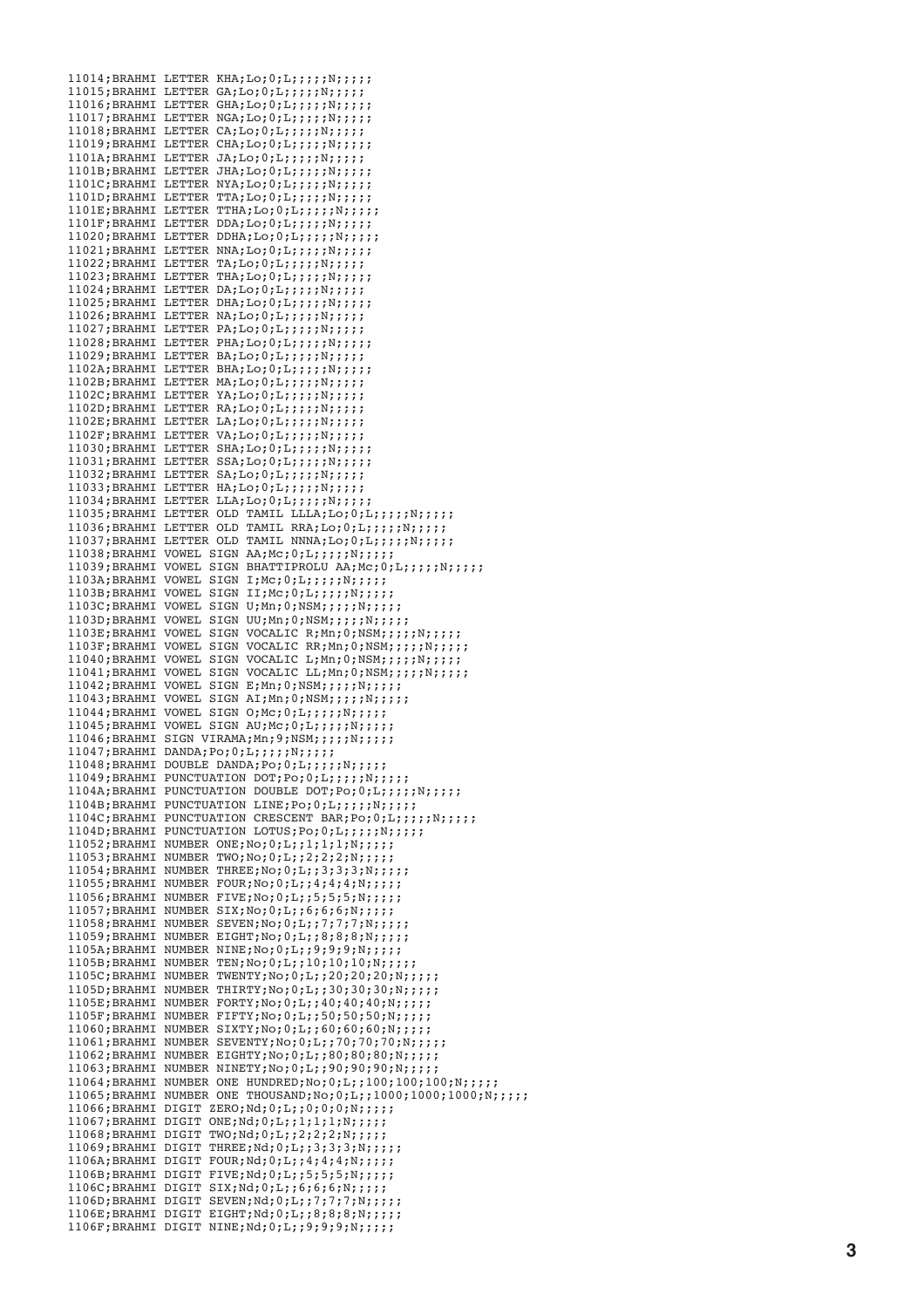11014;BRAHMI LETTER KHA;Lo;0;L;;;;;;N;;;;;  $11015;$ BRAHMI LETTER GA;Lo;0;L;;;;;N;;;;; 11016;BRAHMI LETTER GHA;Lo;0;L;;;;;N;;;;; 11017;BRAHMI LETTER NGA;Lo;0;L;;;;;;N;;;;;  $11018;$ BRAHMI LETTER CA;Lo;0;L;;;;;;;;;;; 11019;BRAHMI LETTER CHA;Lo;0;L;;;;;N;;;;; 1101A;BRAHMI LETTER JA;Lo;0;L;;;;;N;;;;;  $1101B$ ; BRAHMI LETTER JHA; Lo; 0; L;;;;;;N;;;;; 1101C;BRAHMI LETTER NYA;Lo;0;L;;;;;;N;;;;; 1101D;BRAHMI LETTER TTA;Lo;0;L;;;;;N;;;;; 1101E;BRAHMI LETTER TTHA;Lo;0;L;;;;;;;;;;;; 1101F;BRAHMI LETTER DDA;Lo;0;L;;;;;;;;;;;;;; 11020;BRAHMI LETTER DDHA;Lo;0;L;;;;;N;;;;;  $11021;$ BRAHMI LETTER NNA;Lo;0;L;;;;;N;;;;; 11022;BRAHMI LETTER TA;Lo;0;L;;;;;N;;;;;  $11023$ ; BRAHMI LETTER THA; Lo; 0; L;;;;;;N;;;;;  $11024;$ BRAHMI LETTER DA;Lo;0;L;;;;;;;;;;;  $11025;$ BRAHMI LETTER DHA;Lo;0;L;;;;;;N;;;;;  $11026;$ BRAHMI LETTER NA;Lo;0;L;;;;;N;;;;;  $11027;$ BRAHMI LETTER PA;Lo;0;L;;;;;N;;;;; 11028;BRAHMI LETTER PHA;Lo;0;L;;;;;;N;;;;;  $11029$ ;BRAHMI LETTER BA;Lo;0;L;;;;;N;;;;; 1102A;BRAHMI LETTER BHA;Lo;0;L;;;;;;N;;;;;  $1102B$ ; BRAHMI LETTER MA; Lo; 0; L;;;;;;N;;;;; 1102C;BRAHMI LETTER YA;Lo;0;L;;;;;;N;;;;; 1102D;BRAHMI LETTER RA;Lo;0;L;;;;;;;;;;;;  $1102E;$ BRAHMI LETTER LA;Lo;0;L;;;;;;;;;;;; 1102F;BRAHMI LETTER VA;Lo;0;L;;;;;;N;;;;;  $11030$ ; BRAHMI LETTER SHA; Lo; 0; L;;;;;;N;;;;;; 11031;BRAHMI LETTER SSA;Lo;0;L;;;;;;;;;;;  $11032;$ BRAHMI LETTER SA;Lo;0;L;;;;;;;;;;;;  $11033;$ BRAHMI LETTER HA;Lo;0;L;;;;;N;;;;;  $11034$ ;BRAHMI LETTER LLA;Lo; $0;L;$ ;;;;;N;;;;;  $11035;$ BRAHMI LETTER OLD TAMIL LLLA;Lo;0;L;;;;;;;;;;;;  $11036$ ;BRAHMI LETTER OLD TAMIL RRA;Lo;0;L;;;;;;;;;;;; 11037;BRAHMI LETTER OLD TAMIL NNNA;Lo;0;L;;;;;N;;;;;;  $11038$ ; BRAHMI VOWEL SIGN AA; Mc; 0; L;;;;;;;;;;;;;  $11039;$ BRAHMI VOWEL SIGN BHATTIPROLU AA;Mc;0;L;;;;;N;;;;;; 1103A;BRAHMI VOWEL SIGN I;Mc;0;L;;;;;N;;;;; 1103B;BRAHMI VOWEL SIGN II;Mc;0;L;;;;;N;;;;;  $1103C$ ; BRAHMI VOWEL SIGN U; Mn; 0; NSM;;;;;;N;;;;;;  $1103D;$ BRAHMI VOWEL SIGN UU;Mn;0;NSM;;;;;N;;;;;; 1103E;BRAHMI VOWEL SIGN VOCALIC R;Mn;0;NSM;;;;;N;;;;; 1103F;BRAHMI VOWEL SIGN VOCALIC RR;Mn;0;NSM;;;;;;N;;;;; 11040;BRAHMI VOWEL SIGN VOCALIC L;Mn;0;NSM;;;;;N;;;;; 11041;BRAHMI VOWEL SIGN VOCALIC LL;Mn;0;NSM;;;;;;N;;;;; 11042;BRAHMI VOWEL SIGN E;Mn;0;NSM;;;;;;N;;;;; 11043;BRAHMI VOWEL SIGN AI;Mn;0;NSM;;;;;N;;;;;; 11044;BRAHMI VOWEL SIGN O;Mc;0;L;;;;;N;;;;; 11045;BRAHMI VOWEL SIGN AU;Mc;0;L;;;;;N;;;;; 11046;BRAHMI SIGN VIRAMA;Mn;9;NSM;;;;;N;;;;; 11047;BRAHMI DANDA;Po;0;L;;;;;;N;;;;; 11048;BRAHMI DOUBLE DANDA;Po;0;L;;;;;N;;;;; 11049:BRAHMI PUNCTUATION DOT;Po;0;L;;;;;N;;;;;; 1104A;BRAHMI PUNCTUATION DOUBLE DOT;Po;0;L;;;;;N;;;;; 1104B;BRAHMI PUNCTUATION LINE;Po;0;L;;;;;N;;;;; 1104C;BRAHMI PUNCTUATION CRESCENT BAR; Po; 0; L;;;;; N;;;;;; 1104D;BRAHMI PUNCTUATION LOTUS;Po;0;L;;;;;;;;;;;;  $11052;$ BRAHMI NUMBER ONE;No;0;L;;1;1;1;N;;;;;; 11053;BRAHMI NUMBER TWO;No;0;L;;2;2;2;N;;;;;  $11054$ ; BRAHMI NUMBER THREE; No; 0; L;; 3; 3; 3; N;;;;;;  $11055;$ BRAHMI NUMBER FOUR;No;0;L;;4;4;4;N;;;;;;  $11056$ ; BRAHMI NUMBER FIVE; No; 0; L;;5;5;5;N;;;;;; 11057;BRAHMI NUMBER SIX;No;0;L;;6;6;6;N;;;;;; 11058;BRAHMI NUMBER SEVEN;No;0;L;;7;7;7;N;;;;;; 11059;BRAHMI NUMBER EIGHT;No;0;L;;8;8;8;N;;;;; 1105A;BRAHMI NUMBER NINE;No;0;L;;9;9;9;N;;;;;; 1105B;BRAHMI NUMBER TEN;No;0;L;;10;10;10;N;;;;;; 1105C;BRAHMI NUMBER TWENTY;No;0;L;;20;20;20;N;;;;;;  $1105D;$ BRAHMI NUMBER THIRTY;No;0;L;;30;30;30;N;;;;;; 1105E;BRAHMI NUMBER FORTY;No;0;L;;40;40;40;N;;;;;; 1105F;BRAHMI NUMBER FIFTY;No;0;L;;50;50;50;N;;;;;;  $11060$ ; BRAHMI NUMBER SIXTY; No; 0; L;; 60; 60; 60; N;;;;;; 11061;BRAHMI NUMBER SEVENTY;No;0;L;;70;70;70;N;;;;;;  $11062;$ BRAHMI NUMBER EIGHTY;No;0;L;;80;80;80;N;;;;;;  $11063$ ; BRAHMI NUMBER NINETY; No; 0; L;; 90; 90; 90; N;;;;; 11064;BRAHMI NUMBER ONE HUNDRED;No;0;L;;100;100;100;N;;;;; 11065;BRAHMI NUMBER ONE THOUSAND;No;0;L;;1000;1000;1000;N;;;;; 11066;BRAHMI DIGIT ZERO;Nd;0;L;;0;0;0;N;;;;;; 11067;BRAHMI DIGIT ONE;Nd;0;L;;1;1;1;1;N;;;;; 11068;BRAHMI DIGIT TWO;Nd;0;L;;2;2;2;N;;;;; 11069;BRAHMI DIGIT THREE;Nd;0;L;;3;3;3;N;;;;; 1106A;BRAHMI DIGIT FOUR;Nd;0;L;;4;4;4;N;;;;;; 1106B;BRAHMI DIGIT FIVE;Nd;0;L;;5;5;5;N;;;;;; 1106C;BRAHMI DIGIT SIX;Nd;0;L;;6;6;6;N;;;;; 1106D;BRAHMI DIGIT SEVEN;Nd;0;L;;7;7;7;N;;;;; 1106E;BRAHMI DIGIT EIGHT;Nd;0;L;;8;8;8;N;;;;; 1106F;BRAHMI DIGIT NINE;Nd;0;L;;9;9;9;N;;;;;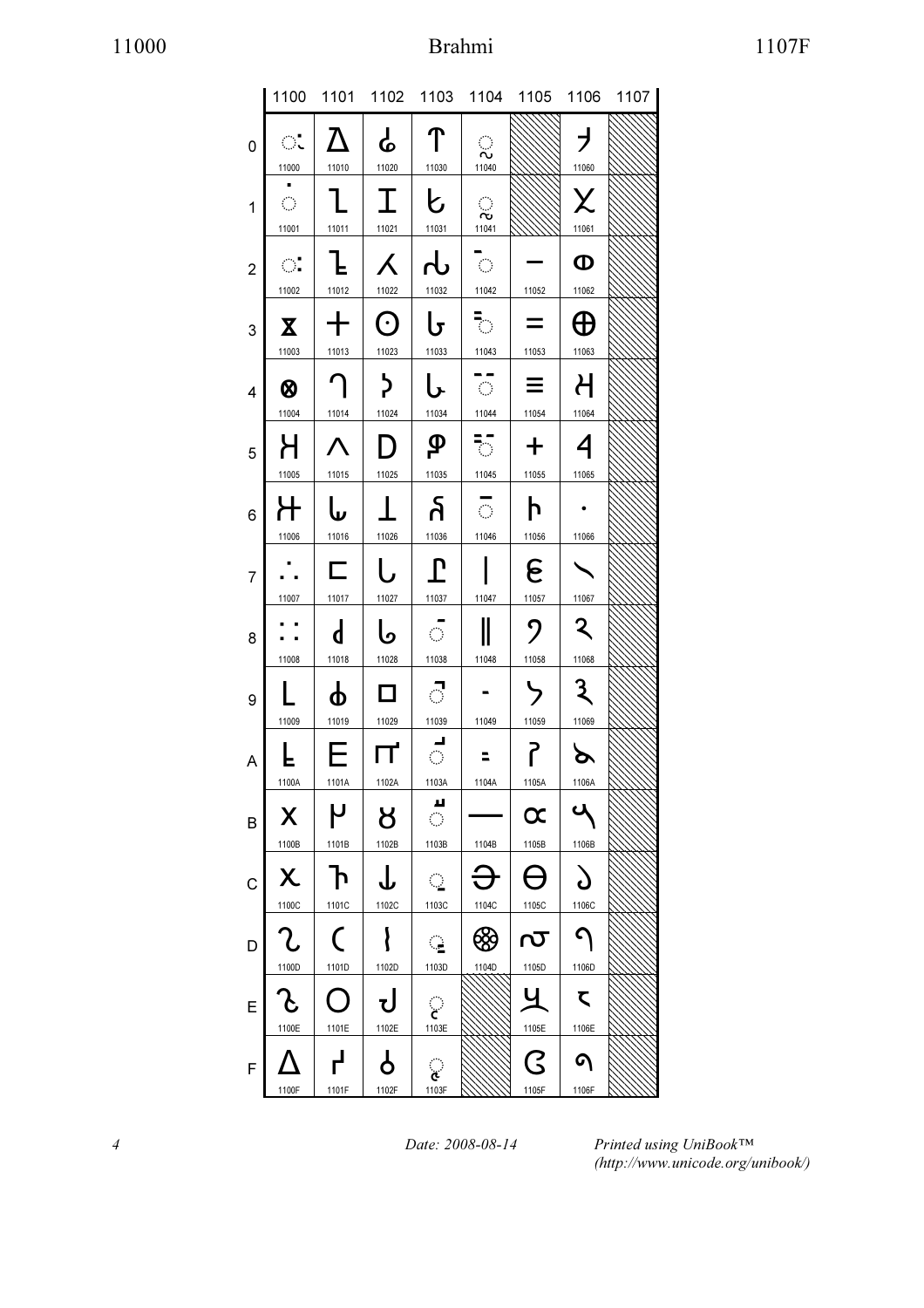# 11000 Brahmi 1107F

|                |                                                           |                       |                              |                                           |                                                       | 1100 1101 1102 1103 1104 1105 1106 1107 |                          |  |
|----------------|-----------------------------------------------------------|-----------------------|------------------------------|-------------------------------------------|-------------------------------------------------------|-----------------------------------------|--------------------------|--|
| 0              | ः                                                         | $\Delta$              | $\mathbf{r}$                 | $\mathcal{T}$                             | ्                                                     |                                         | $\overline{\phantom{a}}$ |  |
| 1              | 11000<br>$\mathcal{L}_{\mathcal{A}}$                      | 11010<br>П.           | 11020<br>$\top$              | 11030<br>ヒ                                | 11040<br>ू                                            |                                         | 11060<br>X               |  |
| $\overline{2}$ | 11001<br>$\bigcirc$                                       | 11011                 | 11021<br>$\lambda$           | 11031<br>․                                | 11041<br>$\overline{\mathbb{C}}$ .                    |                                         | 11061<br>$\mathbf 0$     |  |
|                | 11002<br>$\mathbf{X}$                                     | 11012<br>╈            | 11022<br>$\odot$             | 11032<br>Ს                                | 11042 11052<br>$\overline{\mathcal{L}}_{\mathcal{F}}$ | $=$                                     | 11062<br>$\bigoplus$     |  |
| 3              | 11003                                                     | 11013                 | 11023                        | 11033                                     | 11043                                                 | 11053                                   | 11063                    |  |
| 4              | 0<br>11004                                                | $\bigcap$<br>11014    | $\big\}$<br>11024            | し<br>11034                                | - 호마<br>11044                                         | $\equiv$  <br>11054                     | $\mathcal{H}$<br>11064   |  |
| 5              | Н                                                         | $\Lambda$             | $D \mid$                     | $\mathbf{\varphi}$                        | ैं $\mathbb{R}^+$                                     | $+$                                     | $\overline{\mathcal{A}}$ |  |
| 6              | 11005<br>十                                                | 11015<br>له           | 11025                        | 11035<br>န                                | 11045 11055<br>$\overline{\circ}$                     | h                                       | 11065                    |  |
|                | 11006                                                     | 11016<br>匚            | 11026<br>l,                  | 11036<br>$\mathbf{L}$                     | 11046                                                 | 11056<br>ေ                              | 11066                    |  |
| $\overline{7}$ | 11007                                                     | 11017                 | 11027                        | 11037                                     | 11047                                                 | 11057                                   | 11067                    |  |
| 8              | 11008                                                     | $\mathsf{d}$<br>11018 | ما<br>11028                  | - 6 -<br>11038                            | $\mathbb I$<br>11048                                  | $\mathcal{P}$<br>11058                  | $\mathbf{z}$<br>11068    |  |
| 9              | 11009                                                     | φ<br>11019            | $\Box$<br>11029              | ं<br>11039                                | 11049                                                 | ゝ<br>11059                              | $\mathbf{3}$<br>11069    |  |
| A              | F.                                                        | EТ                    | $\mathsf{u} \mid \mathsf{q}$ |                                           | ╹╺                                                    | $\mathsf{S}$                            | ⋗                        |  |
|                | 1100A<br>X                                                | 1101A<br>٢            | 1102A<br>୪                   | 1103A<br>щ<br>$\mathcal{L}^{\mathcal{A}}$ | 1104A                                                 | 1105A<br>$\boldsymbol{\alpha}$          | 1106A                    |  |
| B              | 1100B                                                     | 1101B                 | 1102B                        | 1103B                                     | 1104B                                                 | 1105B                                   | 1106B                    |  |
| C              | χ<br>1100C                                                | $\mathsf{P}$<br>1101C | 1102C                        | $\mathcal{L}_{\mathcal{L}}$<br>1103C      | 1104C                                                 | 1105C                                   | 1106C                    |  |
| D              | ?.<br>1100D                                               | $\big($<br>1101D      | 1102D                        | ्<br>1103D                                | ශි<br>1104D                                           | <u>ιν</u><br>1105D                      | Λ<br>1106D               |  |
| Е              | $\mathcal{S}% _{M_{1},M_{2}}^{\alpha,\beta}(\varepsilon)$ |                       |                              |                                           |                                                       |                                         | $\zeta$                  |  |
|                | 1100E                                                     | 1101E                 | 1102E                        | 1103E                                     |                                                       | 1105E<br>$\overline{\mathsf{G}}$        | 1106E<br>໑               |  |
| F              | 1100F                                                     | 1101F                 | 1102F                        | ૢ<br>1103F                                |                                                       | 1105F                                   | 1106F                    |  |

4 Date: 2008-08-14

Printed using UniBook™ (http://www.unicode.org/unibook/)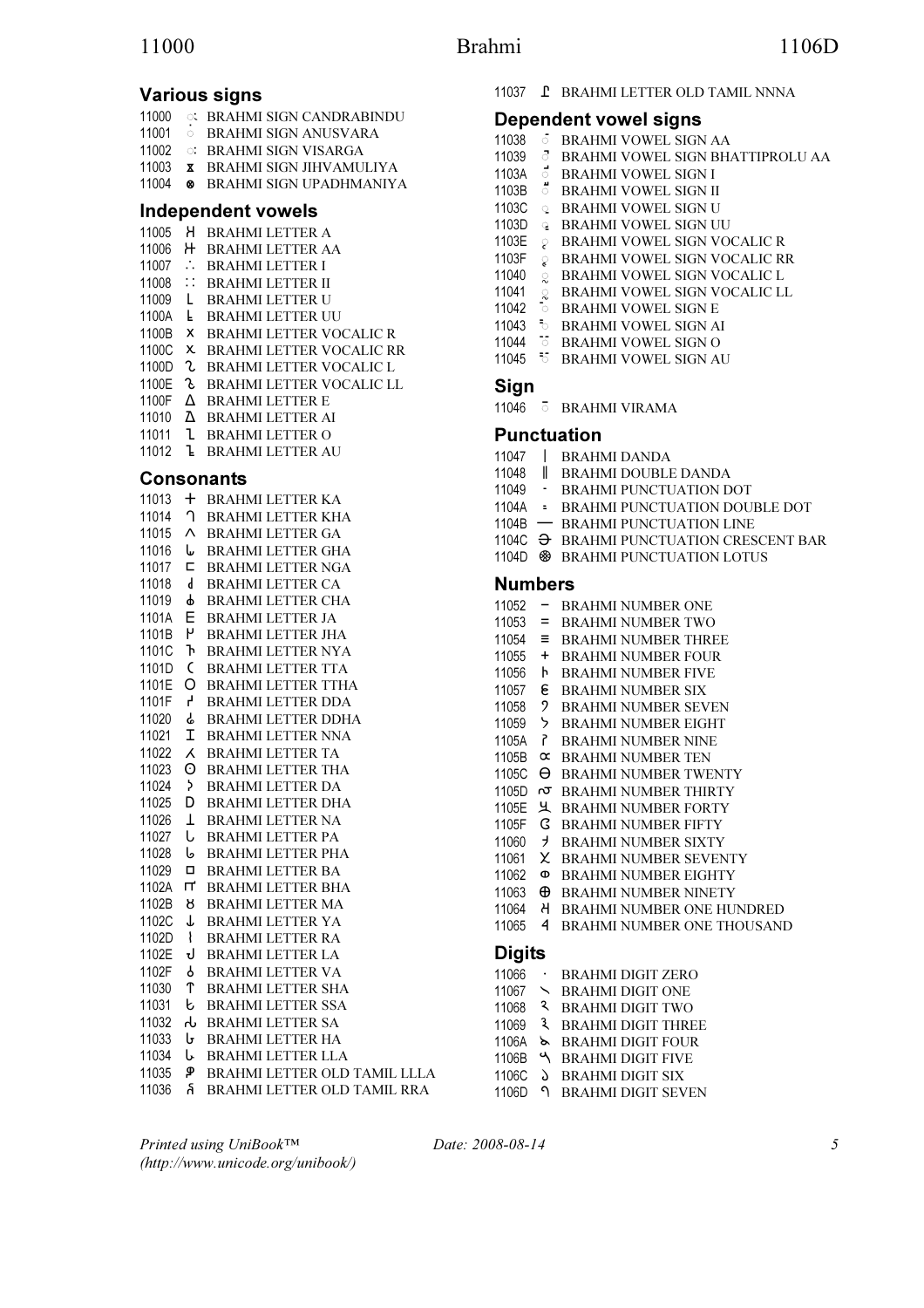# Various signs

- 11000 \$ BRAHMI SIGN CANDRABINDU
- 11001 **BRAHMI SIGN ANUSVARA**
- 11002 : BRAHMI SIGN VISARGA
- 11003 BRAHMI SIGN JIHVAMULIYA
- 11004 BRAHMI SIGN UPADHMANIYA

## Independent vowels

- 11005 H BRAHMI LETTER A
- 11006 H BRAHMI LETTER AA
- 11007 : BRAHMI LETTER I
- 11008 :: BRAHMI LETTER II
- 11009 L BRAHMI LETTER U
- 1100A **L** BRAHMI LETTER UU
- 1100B X BRAHMI LETTER VOCALIC R
- 1100C X BRAHMI LETTER VOCALIC RR
- 1100D **L** BRAHMI LETTER VOCALIC L
- 1100E & BRAHMI LETTER VOCALIC LL
- 1100F  $\triangle$  BRAHMI LETTER E
- 11010 BRAHMI LETTER AI 11011 BRAHMI LETTER O
- 11012 BRAHMI LETTER AU
- 

### Consonants

| 11013 | $^+$         | <b>BRAHMI LETTER KA</b>      |
|-------|--------------|------------------------------|
| 11014 | ∩            | <b>BRAHMI LETTER KHA</b>     |
| 11015 | Λ            | <b>BRAHMI LETTER GA</b>      |
| 11016 | ⊍            | <b>BRAHMI LETTER GHA</b>     |
| 11017 | с            | <b>BRAHMI LETTER NGA</b>     |
| 11018 | d            | <b>BRAHMI LETTER CA</b>      |
| 11019 | ዋ            | <b>BRAHMI LETTER CHA</b>     |
| 1101A | Е            | <b>BRAHMI LETTER JA</b>      |
| 1101B | ٢            | <b>BRAHMI LETTER JHA</b>     |
| 1101C | ጉ            | <b>BRAHMI LETTER NYA</b>     |
| 1101D | $\mathsf{C}$ | <b>BRAHMI LETTER TTA</b>     |
| 1101E | O            | <b>BRAHMILETTER TTHA</b>     |
| 1101F | Ļ,           | <b>BRAHMI LETTER DDA</b>     |
| 11020 | ራ            | <b>BRAHMI LETTER DDHA</b>    |
| 11021 | Ι            | <b>BRAHMI LETTER NNA</b>     |
| 11022 | Χ            | <b>BRAHMI LETTER TA</b>      |
| 11023 | 0            | <b>BRAHMI LETTER THA</b>     |
| 11024 | þ.           | <b>BRAHMI LETTER DA</b>      |
| 11025 | D            | <b>BRAHMI LETTER DHA</b>     |
| 11026 | Τ            | <b>BRAHMI LETTER NA</b>      |
| 11027 | U            | <b>BRAHMI LETTER PA</b>      |
| 11028 | ىا           | <b>BRAHMI LETTER PHA</b>     |
| 11029 | □            | <b>BRAHMI LETTER BA</b>      |
| 1102A | щ            | <b>BRAHMI LETTER BHA</b>     |
| 1102B | ୪            | <b>BRAHMI LETTER MA</b>      |
| 1102C | ↓            | <b>BRAHMI LETTER YA</b>      |
| 1102D | ł            | <b>BRAHMI LETTER RA</b>      |
| 1102E | J            | <b>BRAHMI LETTER LA</b>      |
| 1102F | የ            | <b>BRAHMI LETTER VA</b>      |
| 11030 | ፐ            | <b>BRAHMI LETTER SHA</b>     |
| 11031 | b            | <b>BRAHMI LETTER SSA</b>     |
| 11032 | ጉ            | <b>BRAHMI LETTER SA</b>      |
| 11033 | ს            | <b>BRAHMI LETTER HA</b>      |
| 11034 | Ს            | <b>BRAHMI LETTER LLA</b>     |
| 11035 | ዎ            | BRAHMI LETTER OLD TAMIL LLLA |
| 11036 | á            | BRAHMI LETTER OLD TAMIL RRA  |

11037 **L** BRAHMI LETTER OLD TAMIL NNNA

### Dependent vowel signs

11038 **5 BRAHMI VOWEL SIGN AA** 11039 \$ BRAHMI VOWEL SIGN BHATTIPROLU AA 1103A **behavior of the state** 1103B **BRAHMI VOWEL SIGN II** 1103C Q BRAHMI VOWEL SIGN U 1103D **& BRAHMI VOWEL SIGN UU** 1103E  $\Diamond$  BRAHMI VOWEL SIGN VOCALIC R 1103F & BRAHMI VOWEL SIGN VOCALIC RR 11040 & BRAHMI VOWEL SIGN VOCALIC L 11041 Q BRAHMI VOWEL SIGN VOCALIC LL 11042 **BRAHMI VOWEL SIGN E** 11043 **• BRAHMI VOWEL SIGN AI** 11044  $\overline{6}$  BRAHMI VOWEL SIGN O 11045 <sup>5</sup> BRAHMI VOWEL SIGN AU

### **Sign**

11046 \$ BRAHMI VIRAMA

### Punctuation

11047 BRAHMI DANDA 11048 BRAHMI DOUBLE DANDA 11049 - BRAHMI PUNCTUATION DOT 1104A = BRAHMI PUNCTUATION DOUBLE DOT 1104B - BRAHMI PUNCTUATION LINE 1104C  $\Theta$  BRAHMI PUNCTUATION CRESCENT BAR 1104D **& BRAHMI PUNCTUATION LOTUS** Numbers 11052 - BRAHMI NUMBER ONE  $11053$  = BRAHMI NUMBER TWO 11054  $\equiv$  BRAHMI NUMBER THREE 11055 + BRAHMI NUMBER FOUR 11056 **b** BRAHMI NUMBER FIVE 11057 **& BRAHMI NUMBER SIX** 11058 BRAHMI NUMBER SEVEN 11059 > BRAHMI NUMBER EIGHT 1105A BRAHMI NUMBER NINE 1105B  $\alpha$  BRAHMI NUMBER TEN 1105C  $\Theta$  BRAHMI NUMBER TWENTY 1105D  $\sigma$  BRAHMI NUMBER THIRTY 1105E 丛 BRAHMI NUMBER FORTY 1105F G BRAHMI NUMBER FIFTY 11060 > BRAHMI NUMBER SIXTY 11061 X BRAHMI NUMBER SEVENTY 11062 BRAHMI NUMBER EIGHTY 11063  $\oplus$  BRAHMI NUMBER NINETY 11064 BRAHMI NUMBER ONE HUNDRED 11065 **4 BRAHMI NUMBER ONE THOUSAND Digits** 11066 · BRAHMI DIGIT ZERO 11067 S BRAHMI DIGIT ONE 11068 BRAHMI DIGIT TWO 11069 3 BRAHMI DIGIT THREE 1106A S BRAHMI DIGIT FOUR 1106B & BRAHMI DIGIT FIVE

Printed using UniBook™ (http://www.unicode.org/unibook/)

Date: 2008-08-14 5

1106C  $\delta$  BRAHMI DIGIT SIX 1106D 9 BRAHMI DIGIT SEVEN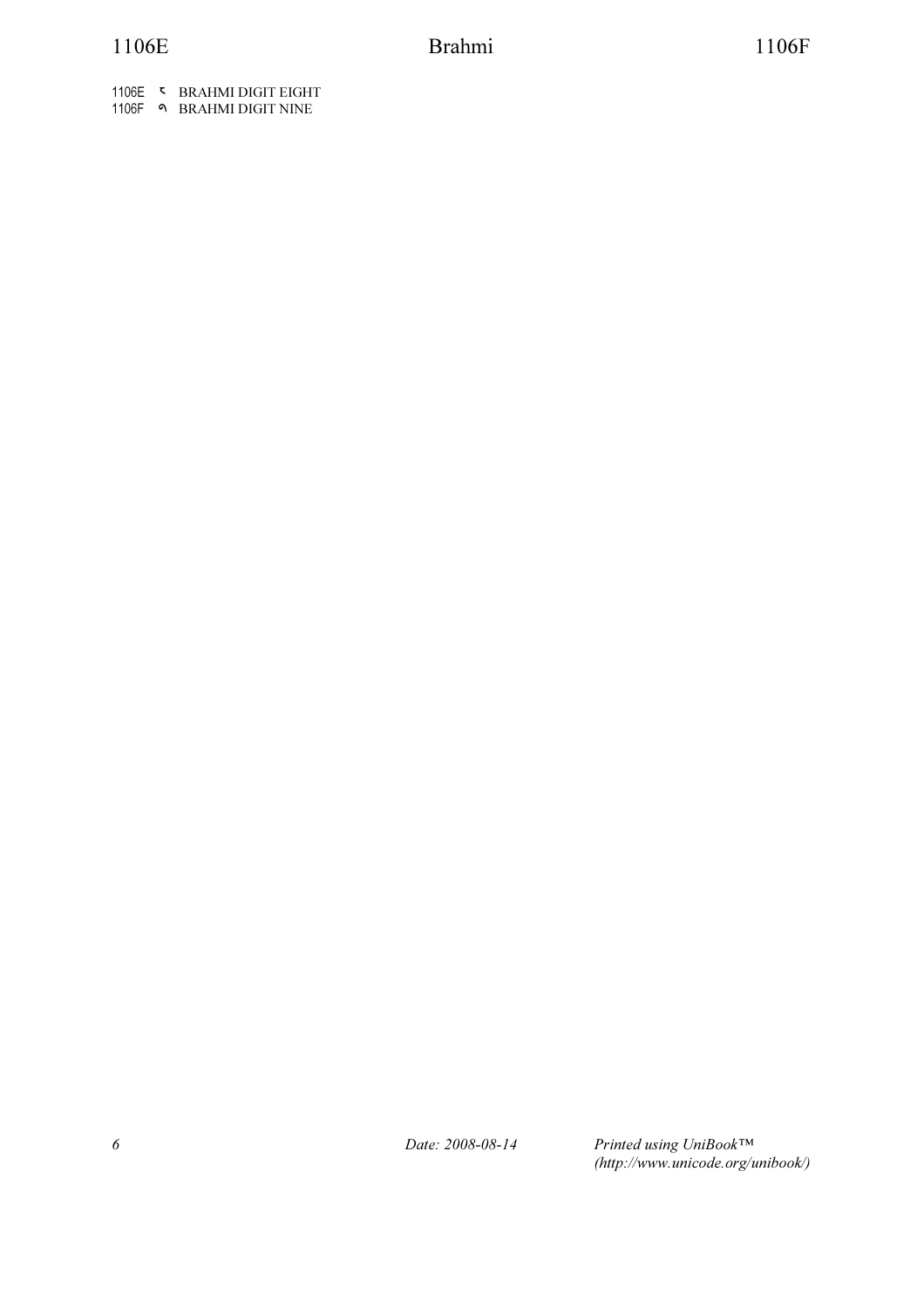1106E **WE BRAHMI DIGIT EIGHT** 1106F BRAHMI DIGIT NINE

6 Date: 2008-08-14

Printed using UniBook™ (http://www.unicode.org/unibook/)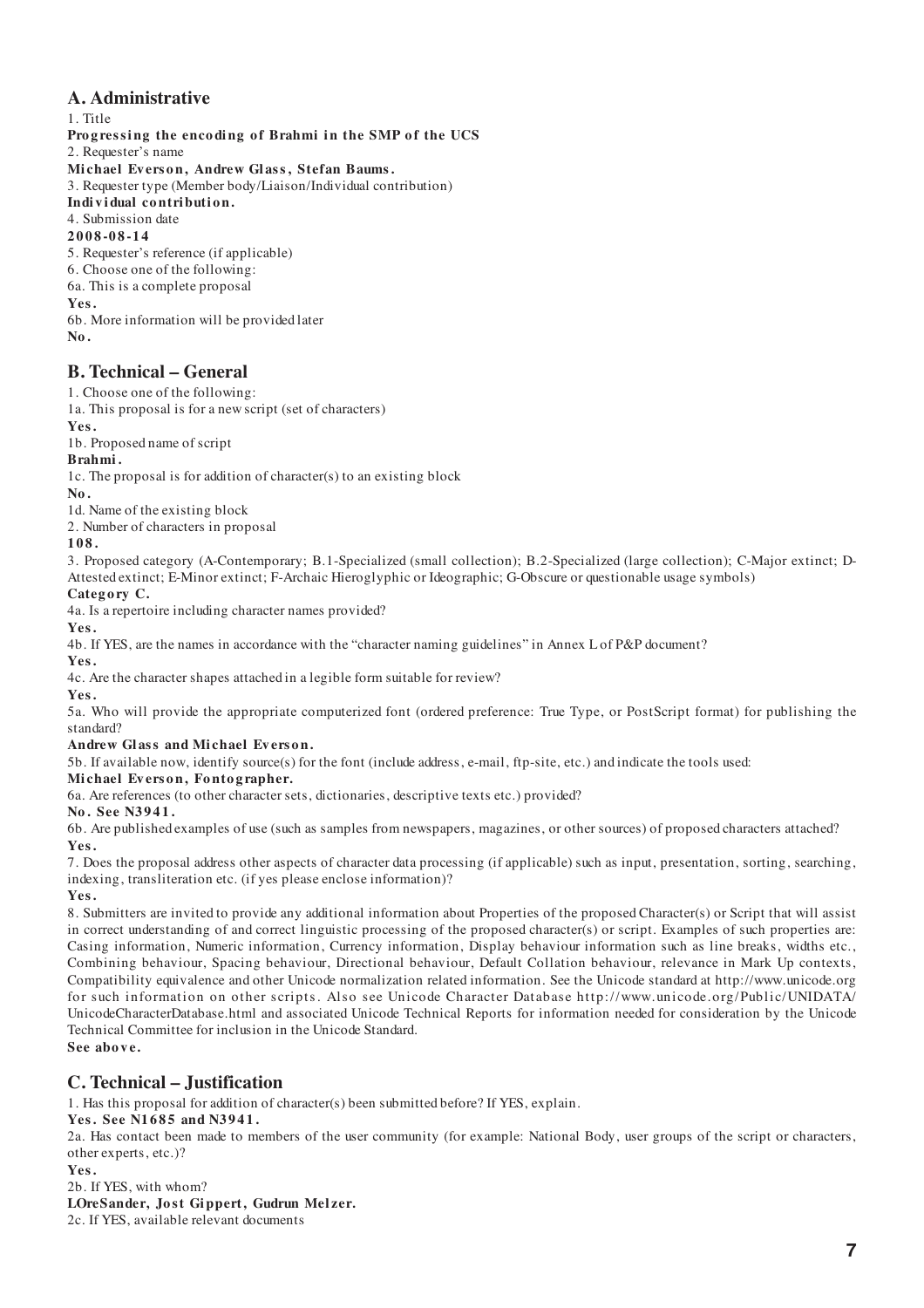### **A. Administrative**

1. Title **Progressing the encoding of Brahmi in the SMP of the UCS** 2. Requester's name Michael Everson, Andrew Glass, Stefan Baums. 3. Requester type (Member body/Liaison/Individual contribution) **Indi v i dual co ntri buti o n.** 4. Submission date **2008-08-14** 5. Requester's reference (if applicable) 6. Choose one of the following: 6a. This is a complete proposal **Yes.** 6b. More information will be provided later

#### **No.**

### **B. Technical – General**

1. Choose one of the following:

1a. This proposal is for a new script (set of characters)

**Yes.**

1b. Proposed name of script

**Brahmi .**

1c. The proposal is for addition of character(s) to an existing block

**No.**

1d. Name of the existing block

2. Number of characters in proposal

#### **108.**

3. Proposed category (A-Contemporary; B.1-Specialized (small collection); B.2-Specialized (large collection); C-Major extinct; D-Attested extinct; E-Minor extinct; F-Archaic Hieroglyphic or Ideographic; G-Obscure or questionable usage symbols)

**Categ o ry C.**

4a. Is a repertoire including character names provided?

**Yes.**

4b. If YES, are the names in accordance with the "character naming guidelines" in Annex L of P&P document?

**Yes.**

4c. Are the character shapes attached in a legible form suitable for review?

**Yes.**

5a. Who will provide the appropriate computerized font (ordered preference: True Type, or PostScript format) for publishing the standard?

#### Andrew Glass and Michael Everson.

5b. If available now, identify source(s) for the font (include address, e-mail, ftp-site, etc.) and indicate the tools used:

#### **Mi chael Ev ers o n, Fo nto g rapher.**

6a. Are references (to other character sets, dictionaries, descriptive texts etc.) provided?

**No. See N3941.**

6b. Are published examples of use (such as samples from newspapers, magazines, or other sources) of proposed characters attached? **Yes.**

7. Does the proposal address other aspects of character data processing (if applicable) such as input, presentation, sorting, searching, indexing, transliteration etc. (if yes please enclose information)?

**Yes.**

8. Submitters are invited to provide any additional information about Properties of the proposed Character(s) or Script that will assist in correct understanding of and correct linguistic processing of the proposed character(s) or script. Examples of such properties are: Casing information, Numeric information, Currency information, Display behaviour information such as line breaks, widths etc., Combining behaviour, Spacing behaviour, Directional behaviour, Default Collation behaviour, relevance in Mark Up contexts, Compatibility equivalence and other Unicode normalization related information. See the Unicode standard at http://www.unicode.org for such information on other scripts. Also see Unicode Character Database http://www. unicode. org/Public/UNIDATA/ UnicodeCharacterDatabase.html and associated Unicode Technical Reports for information needed for consideration by the Unicode Technical Committee for inclusion in the Unicode Standard. **See above.**

### **C. Technical – Justification**

1. Has this proposal for addition of character(s) been submitted before? If YES, explain.

### Yes. See N1685 and N3941.

2a. Has contact been made to members of the user community (for example: National Body, user groups of the script or characters, other experts, etc.)?

#### **Yes.**

2b. If YES, with whom? LOreSander, Jost Gippert, Gudrun Melzer.

2c. If YES, available relevant documents